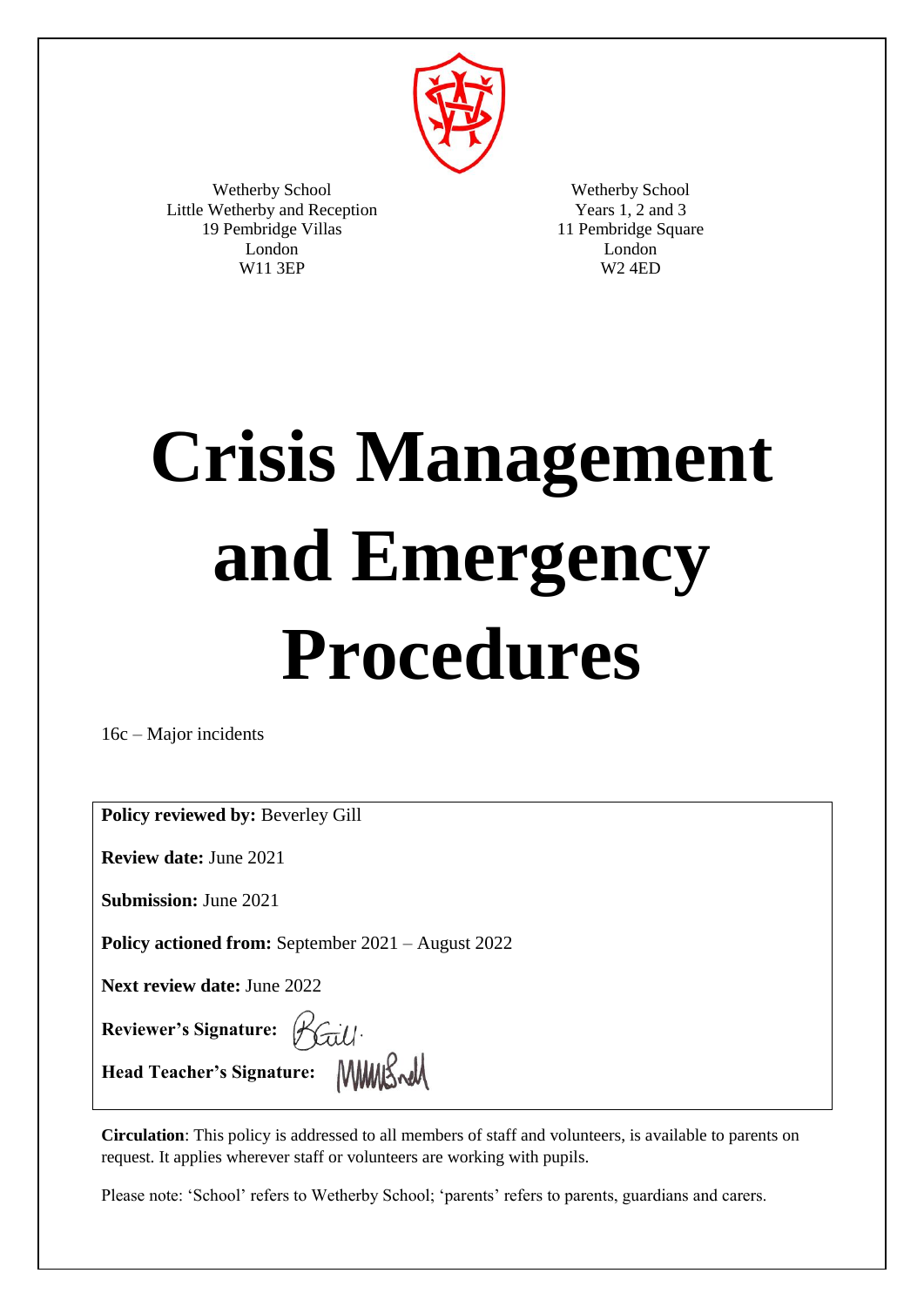

Wetherby School Little Wetherby and Reception 19 Pembridge Villas London W11 3EP

Wetherby School Years 1, 2 and 3 11 Pembridge Square London W2 4ED

# **Crisis Management and Emergency Procedures**

16c – Major incidents

**Policy reviewed by:** Beverley Gill

**Review date:** June 2021

**Submission:** June 2021

**Policy actioned from:** September 2021 – August 2022

**Next review date:** June 2022

**Reviewer's Signature:** 

**Head Teacher's Signature:** 

**Circulation**: This policy is addressed to all members of staff and volunteers, is available to parents on request. It applies wherever staff or volunteers are working with pupils.

Please note: 'School' refers to Wetherby School; 'parents' refers to parents, guardians and carers.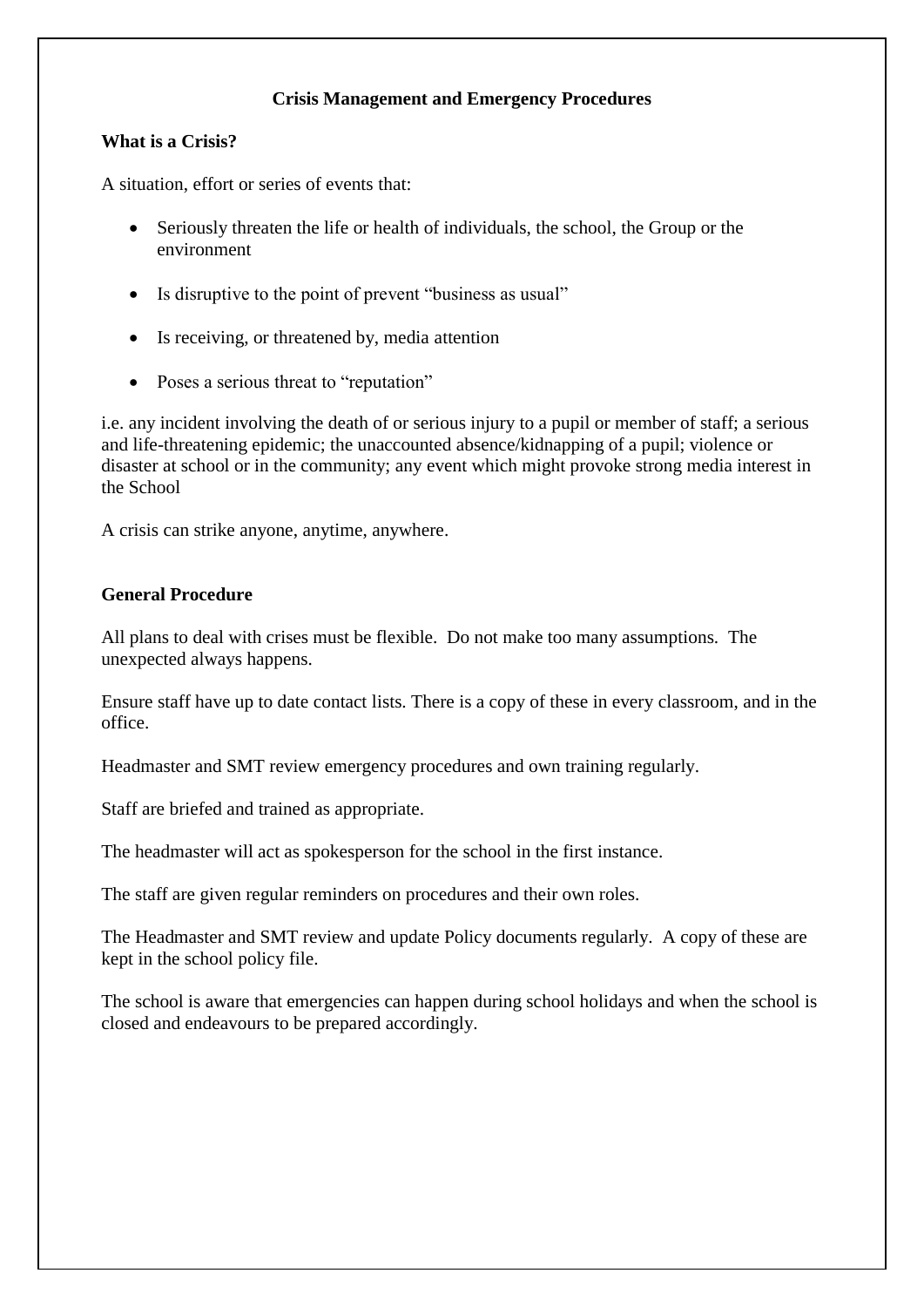### **Crisis Management and Emergency Procedures**

#### **What is a Crisis?**

A situation, effort or series of events that:

- Seriously threaten the life or health of individuals, the school, the Group or the environment
- Is disruptive to the point of prevent "business as usual"
- Is receiving, or threatened by, media attention
- Poses a serious threat to "reputation"

i.e. any incident involving the death of or serious injury to a pupil or member of staff; a serious and life-threatening epidemic; the unaccounted absence/kidnapping of a pupil; violence or disaster at school or in the community; any event which might provoke strong media interest in the School

A crisis can strike anyone, anytime, anywhere.

#### **General Procedure**

All plans to deal with crises must be flexible. Do not make too many assumptions. The unexpected always happens.

Ensure staff have up to date contact lists. There is a copy of these in every classroom, and in the office.

Headmaster and SMT review emergency procedures and own training regularly.

Staff are briefed and trained as appropriate.

The headmaster will act as spokesperson for the school in the first instance.

The staff are given regular reminders on procedures and their own roles.

The Headmaster and SMT review and update Policy documents regularly. A copy of these are kept in the school policy file.

The school is aware that emergencies can happen during school holidays and when the school is closed and endeavours to be prepared accordingly.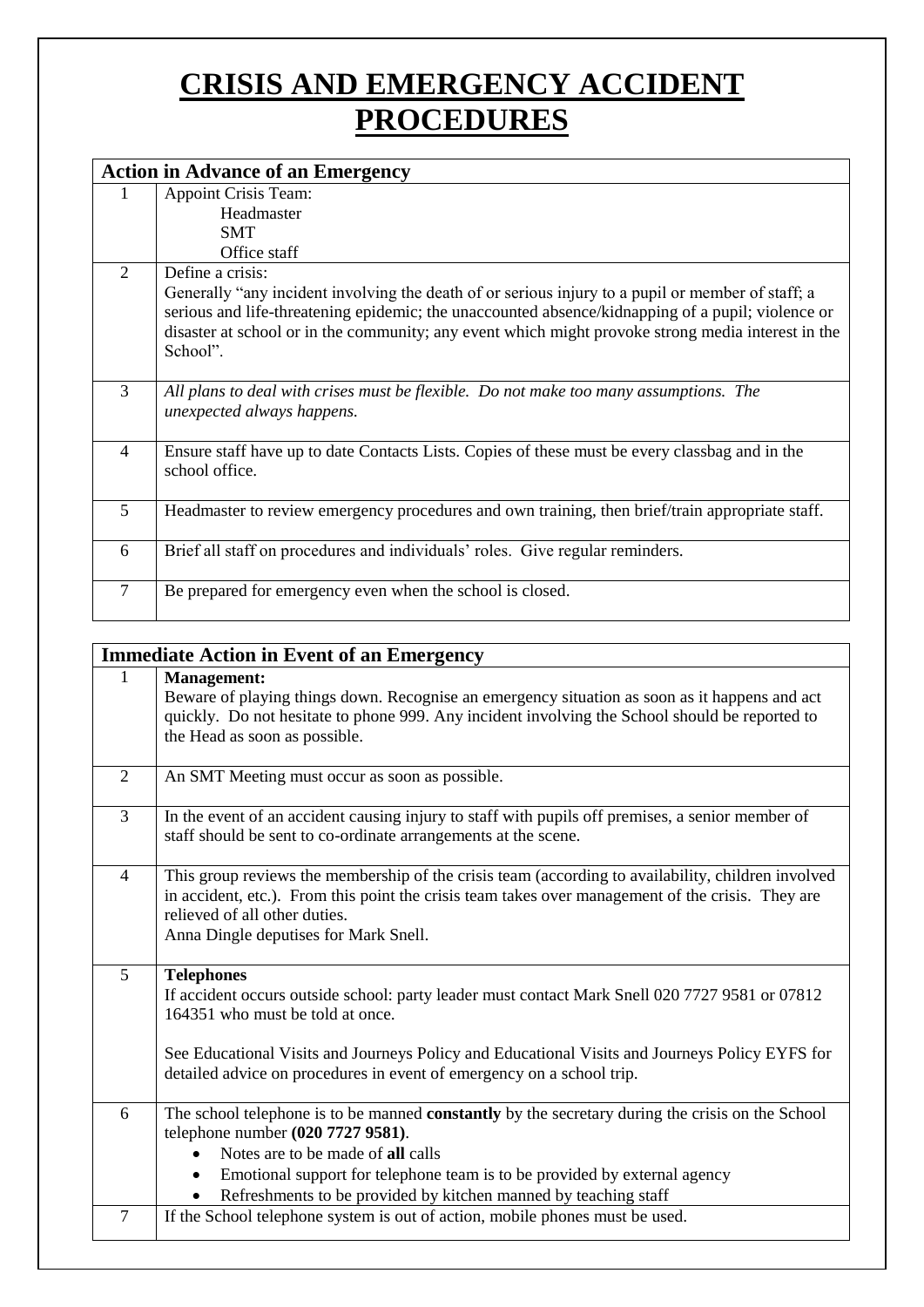## **CRISIS AND EMERGENCY ACCIDENT PROCEDURES**

|                | <b>Action in Advance of an Emergency</b>                                                                                                                                                                                                                                                                                                     |  |  |
|----------------|----------------------------------------------------------------------------------------------------------------------------------------------------------------------------------------------------------------------------------------------------------------------------------------------------------------------------------------------|--|--|
|                | <b>Appoint Crisis Team:</b>                                                                                                                                                                                                                                                                                                                  |  |  |
|                | Headmaster                                                                                                                                                                                                                                                                                                                                   |  |  |
|                | <b>SMT</b>                                                                                                                                                                                                                                                                                                                                   |  |  |
|                | Office staff                                                                                                                                                                                                                                                                                                                                 |  |  |
| 2              | Define a crisis:<br>Generally "any incident involving the death of or serious injury to a pupil or member of staff; a<br>serious and life-threatening epidemic; the unaccounted absence/kidnapping of a pupil; violence or<br>disaster at school or in the community; any event which might provoke strong media interest in the<br>School". |  |  |
| 3              | All plans to deal with crises must be flexible. Do not make too many assumptions. The<br>unexpected always happens.                                                                                                                                                                                                                          |  |  |
| 4              | Ensure staff have up to date Contacts Lists. Copies of these must be every classbag and in the<br>school office.                                                                                                                                                                                                                             |  |  |
| $\overline{5}$ | Headmaster to review emergency procedures and own training, then brief/train appropriate staff.                                                                                                                                                                                                                                              |  |  |
| 6              | Brief all staff on procedures and individuals' roles. Give regular reminders.                                                                                                                                                                                                                                                                |  |  |
| 7              | Be prepared for emergency even when the school is closed.                                                                                                                                                                                                                                                                                    |  |  |

| <b>Immediate Action in Event of an Emergency</b> |                                                                                                                                                                                                                                                                                                                                                      |  |  |
|--------------------------------------------------|------------------------------------------------------------------------------------------------------------------------------------------------------------------------------------------------------------------------------------------------------------------------------------------------------------------------------------------------------|--|--|
| $\mathbf{1}$                                     | <b>Management:</b><br>Beware of playing things down. Recognise an emergency situation as soon as it happens and act<br>quickly. Do not hesitate to phone 999. Any incident involving the School should be reported to<br>the Head as soon as possible.                                                                                               |  |  |
| $\overline{2}$                                   | An SMT Meeting must occur as soon as possible.                                                                                                                                                                                                                                                                                                       |  |  |
| $\overline{3}$                                   | In the event of an accident causing injury to staff with pupils off premises, a senior member of<br>staff should be sent to co-ordinate arrangements at the scene.                                                                                                                                                                                   |  |  |
| $\overline{4}$                                   | This group reviews the membership of the crisis team (according to availability, children involved<br>in accident, etc.). From this point the crisis team takes over management of the crisis. They are<br>relieved of all other duties.<br>Anna Dingle deputises for Mark Snell.                                                                    |  |  |
| 5                                                | <b>Telephones</b><br>If accident occurs outside school: party leader must contact Mark Snell 020 7727 9581 or 07812<br>164351 who must be told at once.<br>See Educational Visits and Journeys Policy and Educational Visits and Journeys Policy EYFS for<br>detailed advice on procedures in event of emergency on a school trip.                   |  |  |
| 6                                                | The school telephone is to be manned constantly by the secretary during the crisis on the School<br>telephone number (020 7727 9581).<br>Notes are to be made of all calls<br>$\bullet$<br>Emotional support for telephone team is to be provided by external agency<br>$\bullet$<br>Refreshments to be provided by kitchen manned by teaching staff |  |  |
| $\overline{7}$                                   | If the School telephone system is out of action, mobile phones must be used.                                                                                                                                                                                                                                                                         |  |  |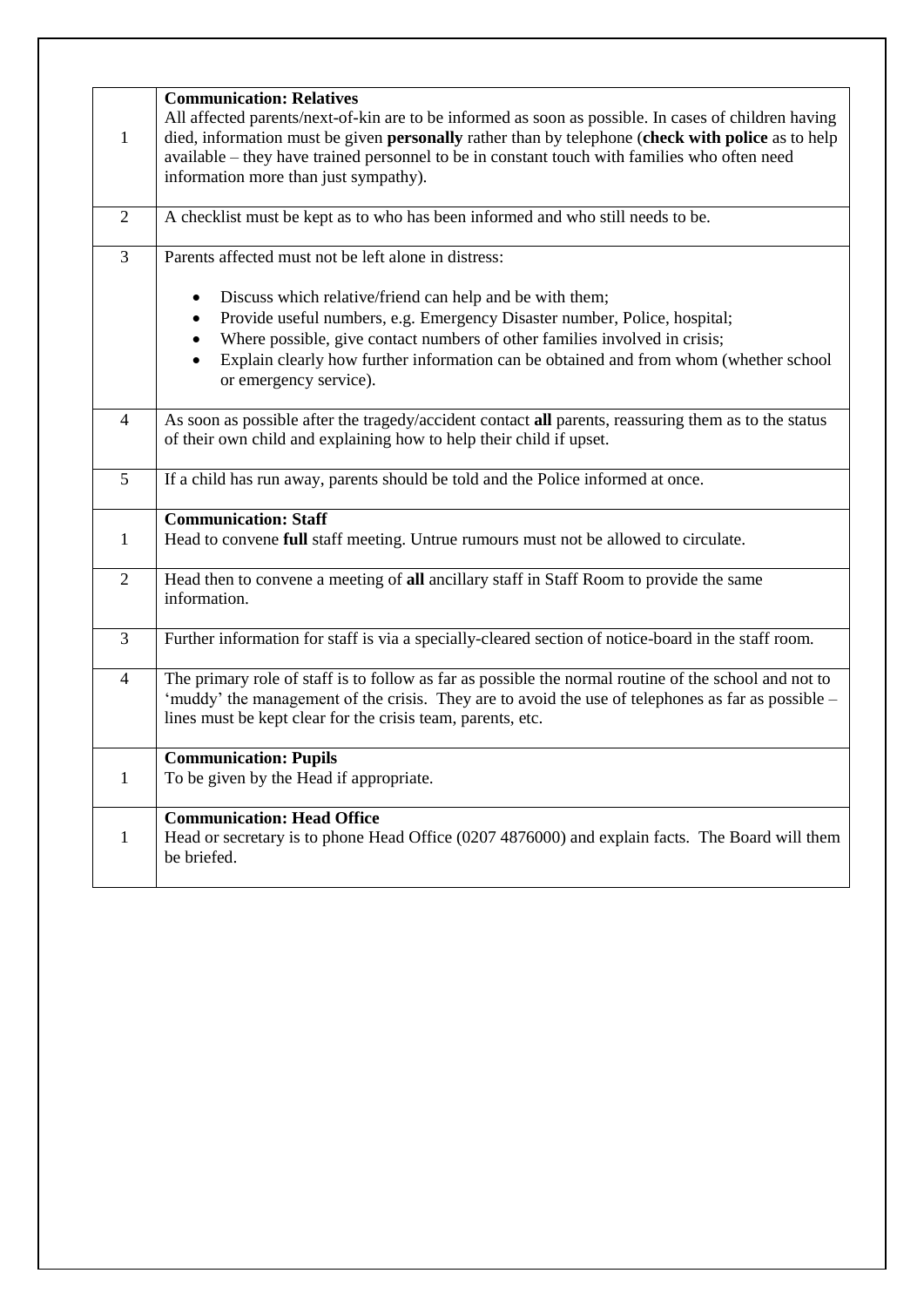| $\mathbf{1}$   | <b>Communication: Relatives</b><br>All affected parents/next-of-kin are to be informed as soon as possible. In cases of children having<br>died, information must be given personally rather than by telephone (check with police as to help<br>available – they have trained personnel to be in constant touch with families who often need<br>information more than just sympathy). |
|----------------|---------------------------------------------------------------------------------------------------------------------------------------------------------------------------------------------------------------------------------------------------------------------------------------------------------------------------------------------------------------------------------------|
|                |                                                                                                                                                                                                                                                                                                                                                                                       |
| 2              | A checklist must be kept as to who has been informed and who still needs to be.                                                                                                                                                                                                                                                                                                       |
| $\overline{3}$ | Parents affected must not be left alone in distress:                                                                                                                                                                                                                                                                                                                                  |
|                | Discuss which relative/friend can help and be with them;<br>$\bullet$<br>Provide useful numbers, e.g. Emergency Disaster number, Police, hospital;<br>Where possible, give contact numbers of other families involved in crisis;<br>$\bullet$<br>Explain clearly how further information can be obtained and from whom (whether school<br>$\bullet$                                   |
|                | or emergency service).                                                                                                                                                                                                                                                                                                                                                                |
| $\overline{4}$ | As soon as possible after the tragedy/accident contact all parents, reassuring them as to the status<br>of their own child and explaining how to help their child if upset.                                                                                                                                                                                                           |
| 5              | If a child has run away, parents should be told and the Police informed at once.                                                                                                                                                                                                                                                                                                      |
| $\mathbf{1}$   | <b>Communication: Staff</b><br>Head to convene full staff meeting. Untrue rumours must not be allowed to circulate.                                                                                                                                                                                                                                                                   |
| $\overline{2}$ | Head then to convene a meeting of all ancillary staff in Staff Room to provide the same<br>information.                                                                                                                                                                                                                                                                               |
| 3              | Further information for staff is via a specially-cleared section of notice-board in the staff room.                                                                                                                                                                                                                                                                                   |
| $\overline{4}$ | The primary role of staff is to follow as far as possible the normal routine of the school and not to<br>'muddy' the management of the crisis. They are to avoid the use of telephones as far as possible -<br>lines must be kept clear for the crisis team, parents, etc.                                                                                                            |
| $\mathbf{1}$   | <b>Communication: Pupils</b><br>To be given by the Head if appropriate.                                                                                                                                                                                                                                                                                                               |
| $\mathbf{1}$   | <b>Communication: Head Office</b><br>Head or secretary is to phone Head Office (0207 4876000) and explain facts. The Board will them<br>be briefed.                                                                                                                                                                                                                                   |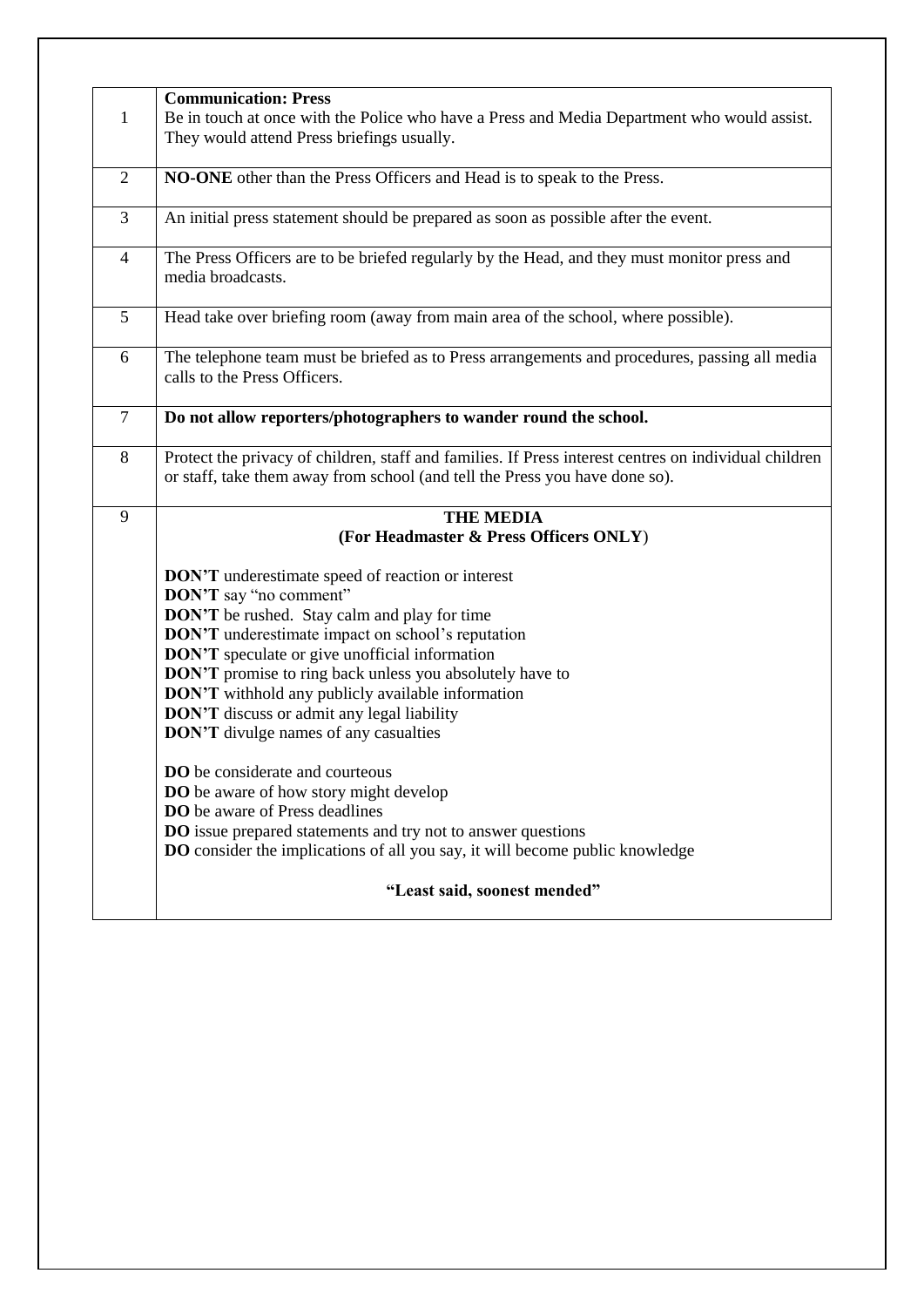|                | <b>Communication: Press</b>                                                                           |
|----------------|-------------------------------------------------------------------------------------------------------|
| $\mathbf{1}$   | Be in touch at once with the Police who have a Press and Media Department who would assist.           |
|                | They would attend Press briefings usually.                                                            |
|                |                                                                                                       |
| $\overline{2}$ | NO-ONE other than the Press Officers and Head is to speak to the Press.                               |
|                |                                                                                                       |
| 3              | An initial press statement should be prepared as soon as possible after the event.                    |
|                |                                                                                                       |
| $\overline{4}$ | The Press Officers are to be briefed regularly by the Head, and they must monitor press and           |
|                | media broadcasts.                                                                                     |
|                |                                                                                                       |
| 5              | Head take over briefing room (away from main area of the school, where possible).                     |
|                |                                                                                                       |
| 6              | The telephone team must be briefed as to Press arrangements and procedures, passing all media         |
|                | calls to the Press Officers.                                                                          |
|                |                                                                                                       |
| $\overline{7}$ |                                                                                                       |
|                | Do not allow reporters/photographers to wander round the school.                                      |
| $\,8\,$        | Protect the privacy of children, staff and families. If Press interest centres on individual children |
|                |                                                                                                       |
|                | or staff, take them away from school (and tell the Press you have done so).                           |
| 9              | <b>THE MEDIA</b>                                                                                      |
|                |                                                                                                       |
|                | (For Headmaster & Press Officers ONLY)                                                                |
|                | <b>DON'T</b> underestimate speed of reaction or interest                                              |
|                | <b>DON'T</b> say "no comment"                                                                         |
|                |                                                                                                       |
|                | <b>DON'T</b> be rushed. Stay calm and play for time                                                   |
|                | <b>DON'T</b> underestimate impact on school's reputation                                              |
|                | <b>DON'T</b> speculate or give unofficial information                                                 |
|                | DON'T promise to ring back unless you absolutely have to                                              |
|                | <b>DON'T</b> withhold any publicly available information                                              |
|                | <b>DON'T</b> discuss or admit any legal liability                                                     |
|                |                                                                                                       |
|                | <b>DON'T</b> divulge names of any casualties                                                          |
|                |                                                                                                       |
|                | DO be considerate and courteous                                                                       |
|                | <b>DO</b> be aware of how story might develop                                                         |
|                | <b>DO</b> be aware of Press deadlines                                                                 |
|                | <b>DO</b> issue prepared statements and try not to answer questions                                   |
|                | DO consider the implications of all you say, it will become public knowledge                          |
|                |                                                                                                       |
|                | "Least said, soonest mended"                                                                          |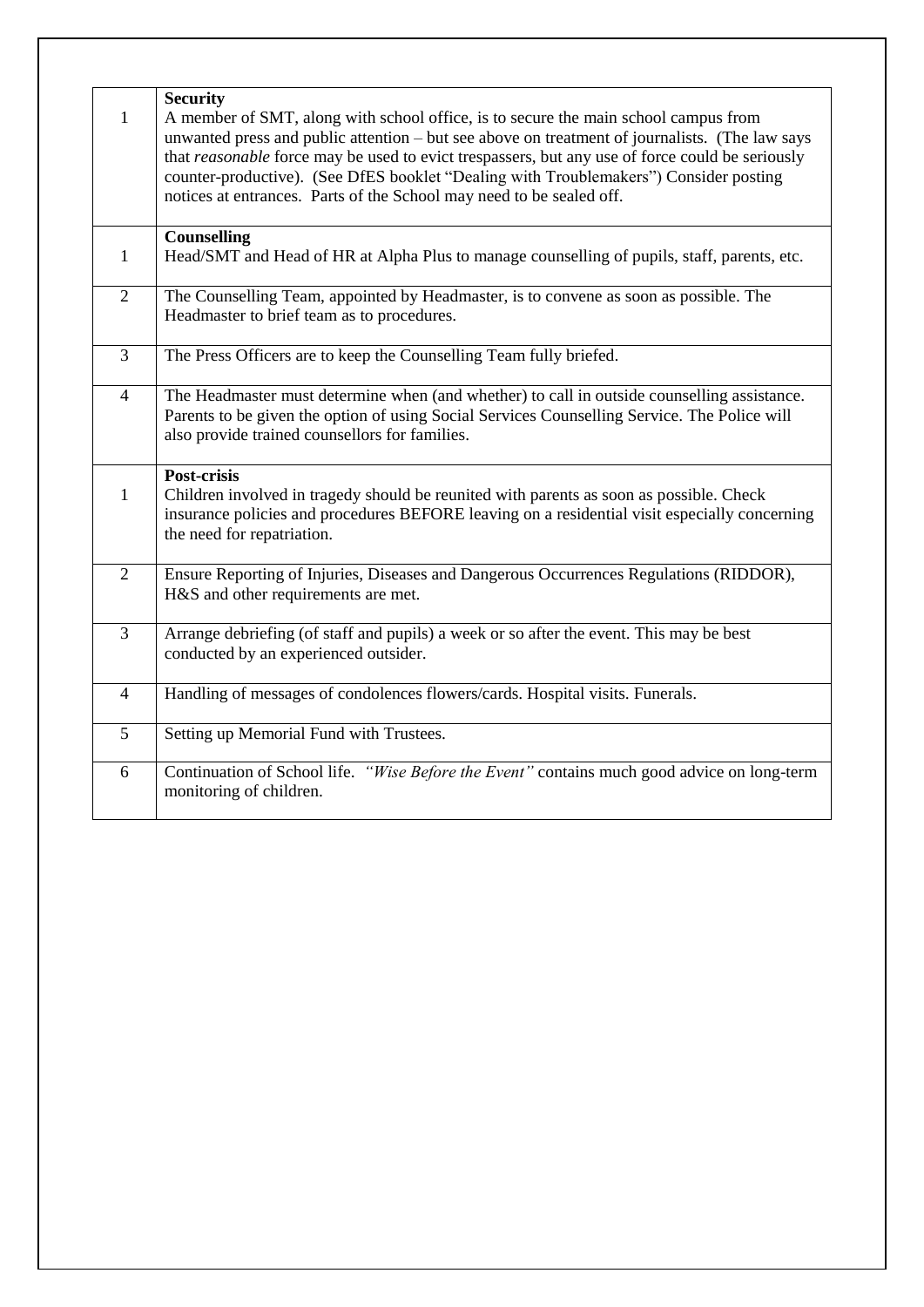| $\mathbf{1}$   | <b>Security</b><br>A member of SMT, along with school office, is to secure the main school campus from<br>unwanted press and public attention – but see above on treatment of journalists. (The law says<br>that reasonable force may be used to evict trespassers, but any use of force could be seriously<br>counter-productive). (See DfES booklet "Dealing with Troublemakers") Consider posting<br>notices at entrances. Parts of the School may need to be sealed off. |
|----------------|------------------------------------------------------------------------------------------------------------------------------------------------------------------------------------------------------------------------------------------------------------------------------------------------------------------------------------------------------------------------------------------------------------------------------------------------------------------------------|
| $\mathbf{1}$   | <b>Counselling</b><br>Head/SMT and Head of HR at Alpha Plus to manage counselling of pupils, staff, parents, etc.                                                                                                                                                                                                                                                                                                                                                            |
| $\overline{2}$ | The Counselling Team, appointed by Headmaster, is to convene as soon as possible. The<br>Headmaster to brief team as to procedures.                                                                                                                                                                                                                                                                                                                                          |
| $\overline{3}$ | The Press Officers are to keep the Counselling Team fully briefed.                                                                                                                                                                                                                                                                                                                                                                                                           |
| $\overline{4}$ | The Headmaster must determine when (and whether) to call in outside counselling assistance.<br>Parents to be given the option of using Social Services Counselling Service. The Police will<br>also provide trained counsellors for families.                                                                                                                                                                                                                                |
| $\mathbf{1}$   | <b>Post-crisis</b><br>Children involved in tragedy should be reunited with parents as soon as possible. Check<br>insurance policies and procedures BEFORE leaving on a residential visit especially concerning<br>the need for repatriation.                                                                                                                                                                                                                                 |
| $\overline{2}$ | Ensure Reporting of Injuries, Diseases and Dangerous Occurrences Regulations (RIDDOR),<br>H&S and other requirements are met.                                                                                                                                                                                                                                                                                                                                                |
| $\overline{3}$ | Arrange debriefing (of staff and pupils) a week or so after the event. This may be best<br>conducted by an experienced outsider.                                                                                                                                                                                                                                                                                                                                             |
| $\overline{4}$ | Handling of messages of condolences flowers/cards. Hospital visits. Funerals.                                                                                                                                                                                                                                                                                                                                                                                                |
| 5              | Setting up Memorial Fund with Trustees.                                                                                                                                                                                                                                                                                                                                                                                                                                      |
| 6              | Continuation of School life. "Wise Before the Event" contains much good advice on long-term<br>monitoring of children.                                                                                                                                                                                                                                                                                                                                                       |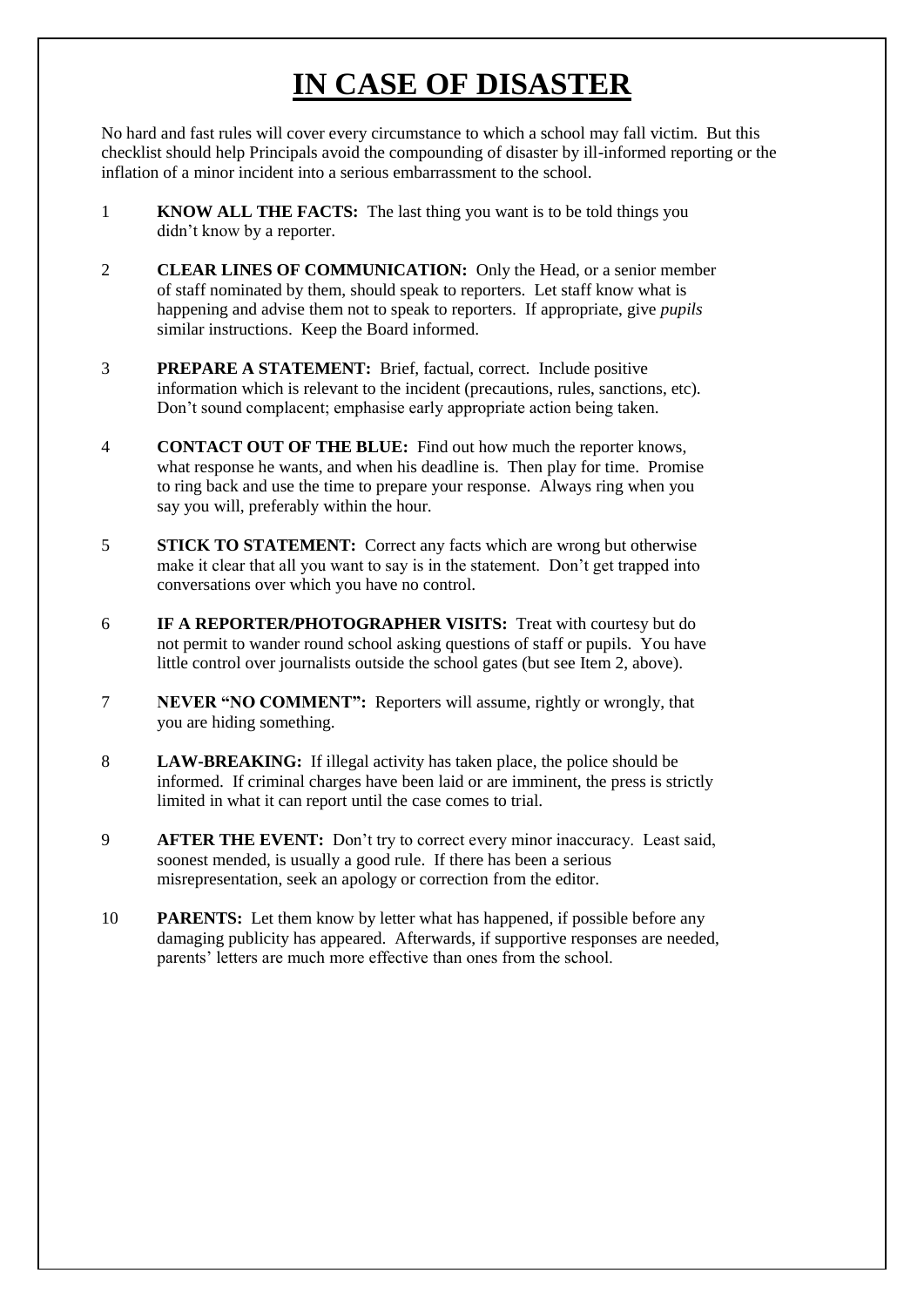## **IN CASE OF DISASTER**

No hard and fast rules will cover every circumstance to which a school may fall victim. But this checklist should help Principals avoid the compounding of disaster by ill-informed reporting or the inflation of a minor incident into a serious embarrassment to the school.

- 1 **KNOW ALL THE FACTS:** The last thing you want is to be told things you didn't know by a reporter.
- 2 **CLEAR LINES OF COMMUNICATION:** Only the Head, or a senior member of staff nominated by them, should speak to reporters. Let staff know what is happening and advise them not to speak to reporters. If appropriate, give *pupils* similar instructions. Keep the Board informed.
- 3 **PREPARE A STATEMENT:** Brief, factual, correct. Include positive information which is relevant to the incident (precautions, rules, sanctions, etc). Don't sound complacent; emphasise early appropriate action being taken.
- 4 **CONTACT OUT OF THE BLUE:** Find out how much the reporter knows, what response he wants, and when his deadline is. Then play for time. Promise to ring back and use the time to prepare your response. Always ring when you say you will, preferably within the hour.
- **STICK TO STATEMENT:** Correct any facts which are wrong but otherwise make it clear that all you want to say is in the statement. Don't get trapped into conversations over which you have no control.
- 6 **IF A REPORTER/PHOTOGRAPHER VISITS:** Treat with courtesy but do not permit to wander round school asking questions of staff or pupils. You have little control over journalists outside the school gates (but see Item 2, above).
- 7 **NEVER "NO COMMENT":** Reporters will assume, rightly or wrongly, that you are hiding something.
- 8 **LAW-BREAKING:** If illegal activity has taken place, the police should be informed. If criminal charges have been laid or are imminent, the press is strictly limited in what it can report until the case comes to trial.
- 9 **AFTER THE EVENT:** Don't try to correct every minor inaccuracy. Least said, soonest mended, is usually a good rule. If there has been a serious misrepresentation, seek an apology or correction from the editor.
- 10 **PARENTS:** Let them know by letter what has happened, if possible before any damaging publicity has appeared. Afterwards, if supportive responses are needed, parents' letters are much more effective than ones from the school.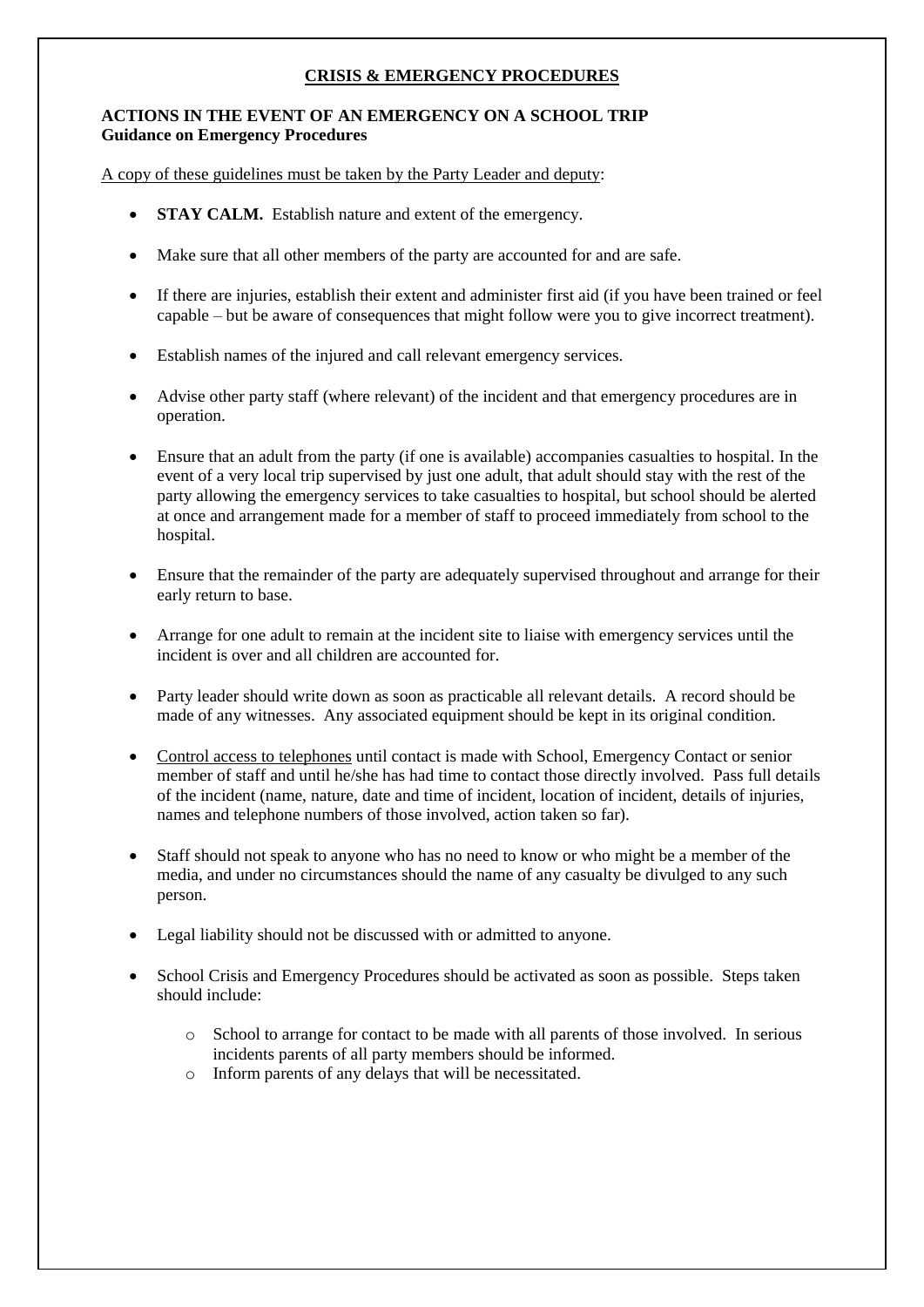#### **CRISIS & EMERGENCY PROCEDURES**

#### **ACTIONS IN THE EVENT OF AN EMERGENCY ON A SCHOOL TRIP Guidance on Emergency Procedures**

A copy of these guidelines must be taken by the Party Leader and deputy:

- **STAY CALM.** Establish nature and extent of the emergency.
- Make sure that all other members of the party are accounted for and are safe.
- If there are injuries, establish their extent and administer first aid (if you have been trained or feel capable – but be aware of consequences that might follow were you to give incorrect treatment).
- Establish names of the injured and call relevant emergency services.
- Advise other party staff (where relevant) of the incident and that emergency procedures are in operation.
- Ensure that an adult from the party (if one is available) accompanies casualties to hospital. In the event of a very local trip supervised by just one adult, that adult should stay with the rest of the party allowing the emergency services to take casualties to hospital, but school should be alerted at once and arrangement made for a member of staff to proceed immediately from school to the hospital.
- Ensure that the remainder of the party are adequately supervised throughout and arrange for their early return to base.
- Arrange for one adult to remain at the incident site to liaise with emergency services until the incident is over and all children are accounted for.
- Party leader should write down as soon as practicable all relevant details. A record should be made of any witnesses. Any associated equipment should be kept in its original condition.
- Control access to telephones until contact is made with School, Emergency Contact or senior member of staff and until he/she has had time to contact those directly involved. Pass full details of the incident (name, nature, date and time of incident, location of incident, details of injuries, names and telephone numbers of those involved, action taken so far).
- Staff should not speak to anyone who has no need to know or who might be a member of the media, and under no circumstances should the name of any casualty be divulged to any such person.
- Legal liability should not be discussed with or admitted to anyone.
- School Crisis and Emergency Procedures should be activated as soon as possible. Steps taken should include:
	- o School to arrange for contact to be made with all parents of those involved. In serious incidents parents of all party members should be informed.
	- o Inform parents of any delays that will be necessitated.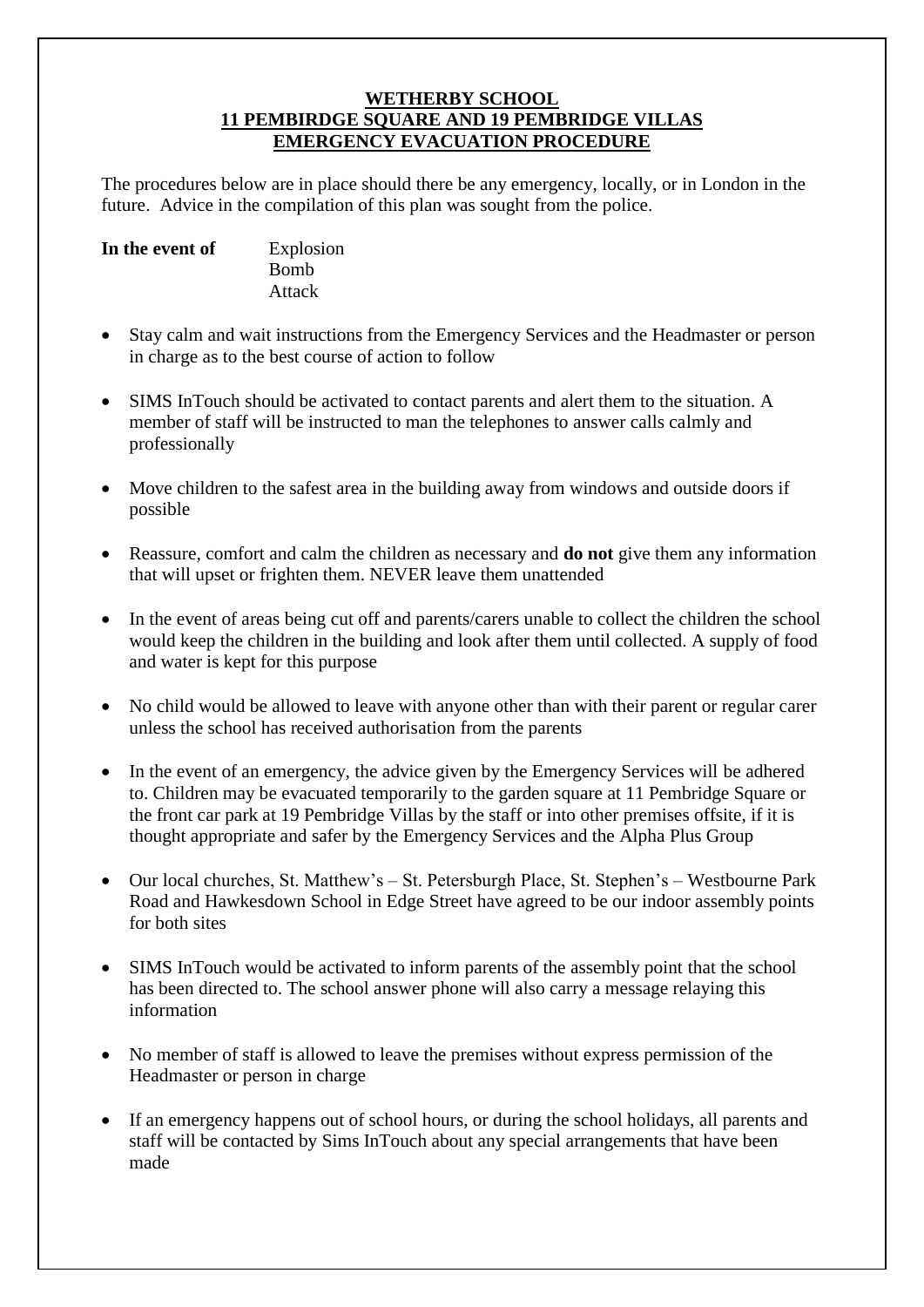#### **WETHERBY SCHOOL 11 PEMBIRDGE SQUARE AND 19 PEMBRIDGE VILLAS EMERGENCY EVACUATION PROCEDURE**

The procedures below are in place should there be any emergency, locally, or in London in the future. Advice in the compilation of this plan was sought from the police.

| In the event of | Explosion   |
|-----------------|-------------|
|                 | <b>Bomb</b> |
|                 | Attack      |

- Stay calm and wait instructions from the Emergency Services and the Headmaster or person in charge as to the best course of action to follow
- SIMS InTouch should be activated to contact parents and alert them to the situation. A member of staff will be instructed to man the telephones to answer calls calmly and professionally
- Move children to the safest area in the building away from windows and outside doors if possible
- Reassure, comfort and calm the children as necessary and **do not** give them any information that will upset or frighten them. NEVER leave them unattended
- In the event of areas being cut off and parents/carers unable to collect the children the school would keep the children in the building and look after them until collected. A supply of food and water is kept for this purpose
- No child would be allowed to leave with anyone other than with their parent or regular carer unless the school has received authorisation from the parents
- In the event of an emergency, the advice given by the Emergency Services will be adhered to. Children may be evacuated temporarily to the garden square at 11 Pembridge Square or the front car park at 19 Pembridge Villas by the staff or into other premises offsite, if it is thought appropriate and safer by the Emergency Services and the Alpha Plus Group
- Our local churches, St. Matthew's St. Petersburgh Place, St. Stephen's Westbourne Park Road and Hawkesdown School in Edge Street have agreed to be our indoor assembly points for both sites
- SIMS InTouch would be activated to inform parents of the assembly point that the school has been directed to. The school answer phone will also carry a message relaying this information
- No member of staff is allowed to leave the premises without express permission of the Headmaster or person in charge
- If an emergency happens out of school hours, or during the school holidays, all parents and staff will be contacted by Sims InTouch about any special arrangements that have been made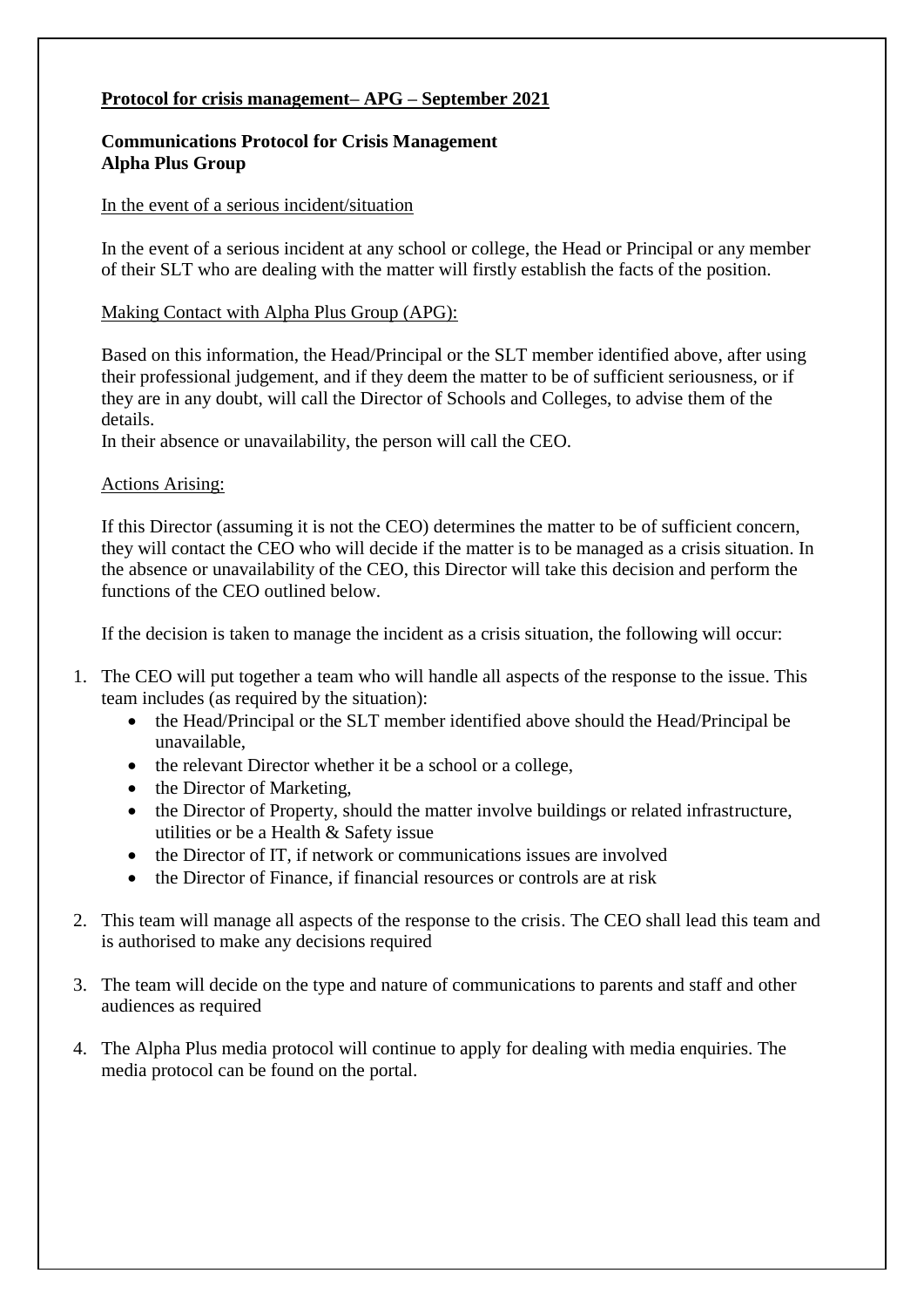### **Protocol for crisis management– APG – September 2021**

#### **Communications Protocol for Crisis Management Alpha Plus Group**

#### In the event of a serious incident/situation

In the event of a serious incident at any school or college, the Head or Principal or any member of their SLT who are dealing with the matter will firstly establish the facts of the position.

#### Making Contact with Alpha Plus Group (APG):

Based on this information, the Head/Principal or the SLT member identified above, after using their professional judgement, and if they deem the matter to be of sufficient seriousness, or if they are in any doubt, will call the Director of Schools and Colleges, to advise them of the details.

In their absence or unavailability, the person will call the CEO.

#### Actions Arising:

If this Director (assuming it is not the CEO) determines the matter to be of sufficient concern, they will contact the CEO who will decide if the matter is to be managed as a crisis situation. In the absence or unavailability of the CEO, this Director will take this decision and perform the functions of the CEO outlined below.

If the decision is taken to manage the incident as a crisis situation, the following will occur:

- 1. The CEO will put together a team who will handle all aspects of the response to the issue. This team includes (as required by the situation):
	- the Head/Principal or the SLT member identified above should the Head/Principal be unavailable,
	- the relevant Director whether it be a school or a college,
	- the Director of Marketing,
	- the Director of Property, should the matter involve buildings or related infrastructure, utilities or be a Health & Safety issue
	- the Director of IT, if network or communications issues are involved
	- the Director of Finance, if financial resources or controls are at risk
- 2. This team will manage all aspects of the response to the crisis. The CEO shall lead this team and is authorised to make any decisions required
- 3. The team will decide on the type and nature of communications to parents and staff and other audiences as required
- 4. The Alpha Plus media protocol will continue to apply for dealing with media enquiries. The media protocol can be found on the portal.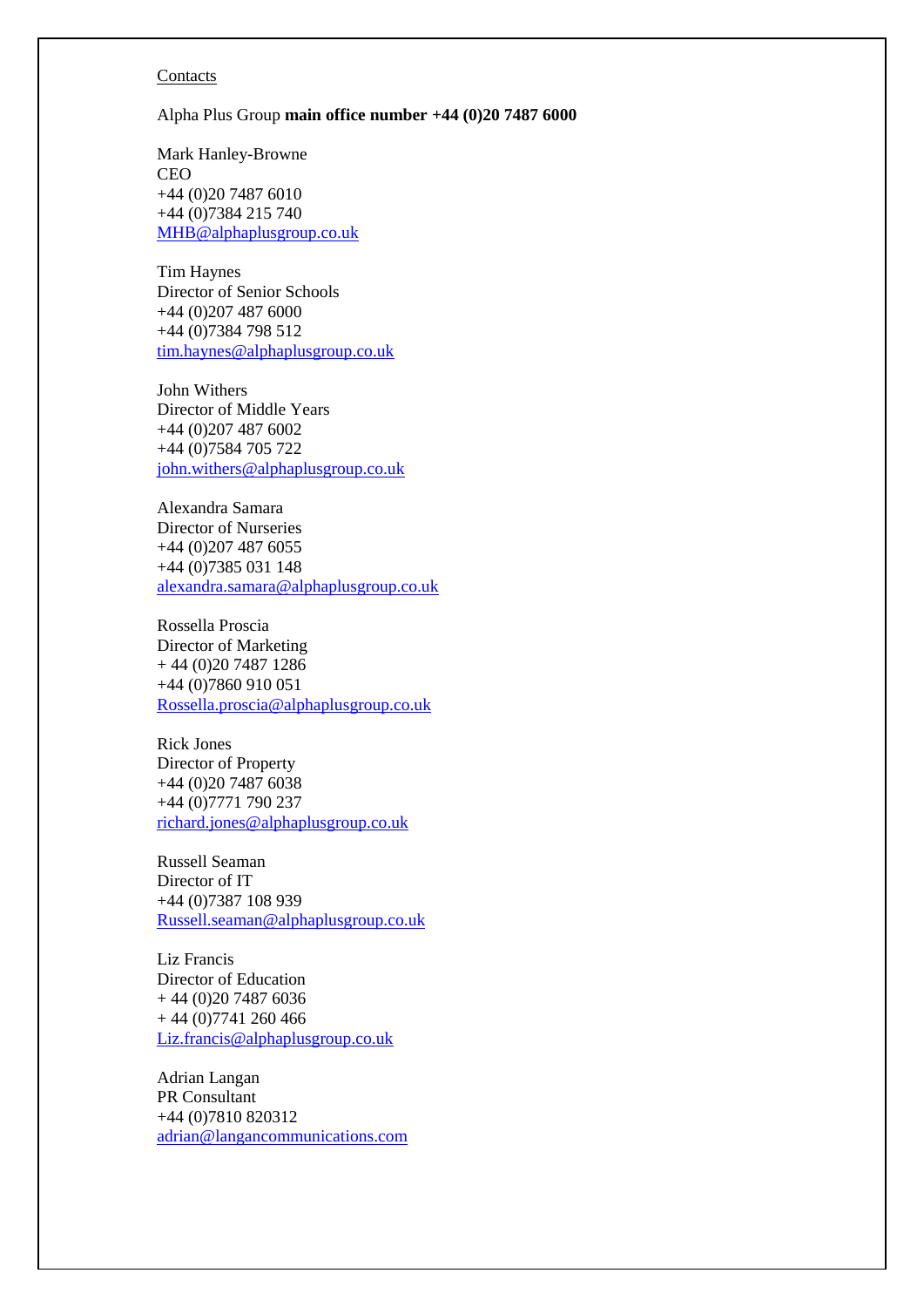#### **Contacts**

Alpha Plus Group **main office number +44 (0)20 7487 6000** 

Mark Hanley-Browne CEO +44 (0)20 7487 6010 +44 (0)7384 215 740 [MHB@alphaplusgroup.co.uk](mailto:MHB@alphaplusgroup.co.uk)

Tim Haynes Director of Senior Schools +44 (0)207 487 6000 +44 (0)7384 798 512 [tim.haynes@alphaplusgroup.co.uk](mailto:tim.haynes@alphaplusgroup.co.uk)

John Withers Director of Middle Years +44 (0)207 487 6002 +44 (0)7584 705 722 [john.withers@alphaplusgroup.co.uk](mailto:john.withers@alphaplusgroup.co.uk)

Alexandra Samara Director of Nurseries +44 (0)207 487 6055 +44 (0)7385 031 148 [alexandra.samara@alphaplusgroup.co.uk](mailto:alexandra.samara@alphaplusgroup.co.uk)

Rossella Proscia Director of Marketing + 44 (0)20 7487 1286 +44 (0)7860 910 051 [Rossella.proscia@alphaplusgroup.co.uk](mailto:Rossella.proscia@alphaplusgroup.co.uk)

Rick Jones Director of Property +44 (0)20 7487 6038 +44 (0)7771 790 237 [richard.jones@alphaplusgroup.co.uk](mailto:richard.jones@alphaplusgroup.co.uk)

Russell Seaman Director of IT +44 (0)7387 108 939 [Russell.seaman@alphaplusgroup.co.uk](mailto:Russell.seaman@alphaplusgroup.co.uk)

Liz Francis Director of Education + 44 (0)20 7487 6036  $+ 44 (0)7741 260 466$ [Liz.francis@alphaplusgroup.co.uk](mailto:Liz.francis@alphaplusgroup.co.uk)

Adrian Langan PR Consultant +44 (0)7810 820312 [adrian@langancommunications.com](mailto:adrian@langancommunications.com)